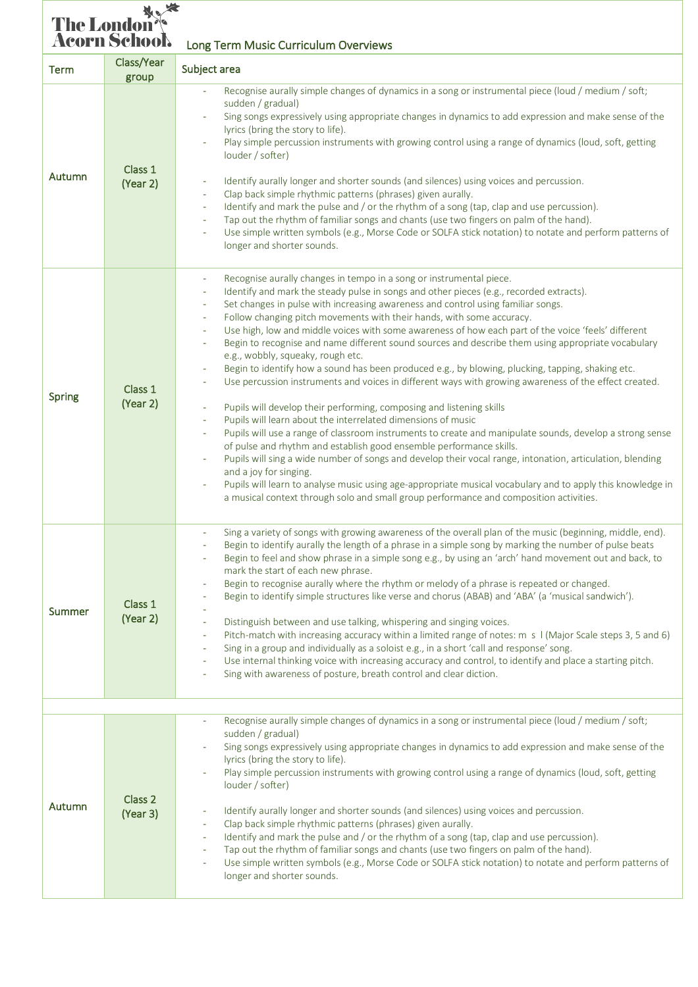## The London<br> **Acorn School**<br>
Long Term Music Curriculum Overviews Term Class/Year<br>group Subject area

| Autumn        | Class 1<br>(Year 2)            | Recognise aurally simple changes of dynamics in a song or instrumental piece (loud / medium / soft;<br>sudden / gradual)<br>Sing songs expressively using appropriate changes in dynamics to add expression and make sense of the<br>lyrics (bring the story to life).<br>Play simple percussion instruments with growing control using a range of dynamics (loud, soft, getting<br>louder / softer)<br>Identify aurally longer and shorter sounds (and silences) using voices and percussion.<br>$\overline{\phantom{a}}$<br>Clap back simple rhythmic patterns (phrases) given aurally.<br>$\omega$<br>Identify and mark the pulse and / or the rhythm of a song (tap, clap and use percussion).<br>$\omega$<br>Tap out the rhythm of familiar songs and chants (use two fingers on palm of the hand).<br>$\omega$<br>Use simple written symbols (e.g., Morse Code or SOLFA stick notation) to notate and perform patterns of<br>$\omega$<br>longer and shorter sounds.                                                                                                                                                                                                                                                                                                                                                                                                                                                                                                                                                                                                                                                                                                       |
|---------------|--------------------------------|---------------------------------------------------------------------------------------------------------------------------------------------------------------------------------------------------------------------------------------------------------------------------------------------------------------------------------------------------------------------------------------------------------------------------------------------------------------------------------------------------------------------------------------------------------------------------------------------------------------------------------------------------------------------------------------------------------------------------------------------------------------------------------------------------------------------------------------------------------------------------------------------------------------------------------------------------------------------------------------------------------------------------------------------------------------------------------------------------------------------------------------------------------------------------------------------------------------------------------------------------------------------------------------------------------------------------------------------------------------------------------------------------------------------------------------------------------------------------------------------------------------------------------------------------------------------------------------------------------------------------------------------------------------------------------|
| <b>Spring</b> | Class 1<br>(Year 2)            | Recognise aurally changes in tempo in a song or instrumental piece.<br>$\overline{\phantom{a}}$<br>Identify and mark the steady pulse in songs and other pieces (e.g., recorded extracts).<br>÷.<br>Set changes in pulse with increasing awareness and control using familiar songs.<br>$\overline{\phantom{a}}$<br>Follow changing pitch movements with their hands, with some accuracy.<br>$\overline{\phantom{a}}$<br>Use high, low and middle voices with some awareness of how each part of the voice 'feels' different<br>$\overline{\phantom{a}}$<br>Begin to recognise and name different sound sources and describe them using appropriate vocabulary<br>e.g., wobbly, squeaky, rough etc.<br>Begin to identify how a sound has been produced e.g., by blowing, plucking, tapping, shaking etc.<br>Use percussion instruments and voices in different ways with growing awareness of the effect created.<br>Pupils will develop their performing, composing and listening skills<br>$\overline{\phantom{a}}$<br>Pupils will learn about the interrelated dimensions of music<br>$\overline{\phantom{a}}$<br>Pupils will use a range of classroom instruments to create and manipulate sounds, develop a strong sense<br>$\overline{\phantom{a}}$<br>of pulse and rhythm and establish good ensemble performance skills.<br>Pupils will sing a wide number of songs and develop their vocal range, intonation, articulation, blending<br>and a joy for singing.<br>Pupils will learn to analyse music using age-appropriate musical vocabulary and to apply this knowledge in<br>a musical context through solo and small group performance and composition activities. |
| <b>Summer</b> | Class 1<br>(Year 2)            | Sing a variety of songs with growing awareness of the overall plan of the music (beginning, middle, end).<br>Begin to identify aurally the length of a phrase in a simple song by marking the number of pulse beats<br>$\equiv$<br>Begin to feel and show phrase in a simple song e.g., by using an 'arch' hand movement out and back, to<br>$\overline{\phantom{a}}$<br>mark the start of each new phrase.<br>Begin to recognise aurally where the rhythm or melody of a phrase is repeated or changed.<br>Begin to identify simple structures like verse and chorus (ABAB) and 'ABA' (a 'musical sandwich').<br>Distinguish between and use talking, whispering and singing voices.<br>$\omega$<br>Pitch-match with increasing accuracy within a limited range of notes: m s I (Major Scale steps 3, 5 and 6)<br>$\sim$<br>Sing in a group and individually as a soloist e.g., in a short 'call and response' song.<br>$\overline{\phantom{a}}$<br>Use internal thinking voice with increasing accuracy and control, to identify and place a starting pitch.<br>$\omega$<br>Sing with awareness of posture, breath control and clear diction.<br>$\sim$                                                                                                                                                                                                                                                                                                                                                                                                                                                                                                                       |
|               |                                | Recognise aurally simple changes of dynamics in a song or instrumental piece (loud / medium / soft;                                                                                                                                                                                                                                                                                                                                                                                                                                                                                                                                                                                                                                                                                                                                                                                                                                                                                                                                                                                                                                                                                                                                                                                                                                                                                                                                                                                                                                                                                                                                                                             |
| Autumn        | Class <sub>2</sub><br>(Year 3) | sudden / gradual)<br>Sing songs expressively using appropriate changes in dynamics to add expression and make sense of the<br>lyrics (bring the story to life).<br>Play simple percussion instruments with growing control using a range of dynamics (loud, soft, getting<br>louder / softer)<br>Identify aurally longer and shorter sounds (and silences) using voices and percussion.<br>Clap back simple rhythmic patterns (phrases) given aurally.<br>$\sim$<br>Identify and mark the pulse and / or the rhythm of a song (tap, clap and use percussion).<br>$\sim$<br>Tap out the rhythm of familiar songs and chants (use two fingers on palm of the hand).<br>$\overline{\phantom{a}}$<br>Use simple written symbols (e.g., Morse Code or SOLFA stick notation) to notate and perform patterns of<br>longer and shorter sounds.                                                                                                                                                                                                                                                                                                                                                                                                                                                                                                                                                                                                                                                                                                                                                                                                                                          |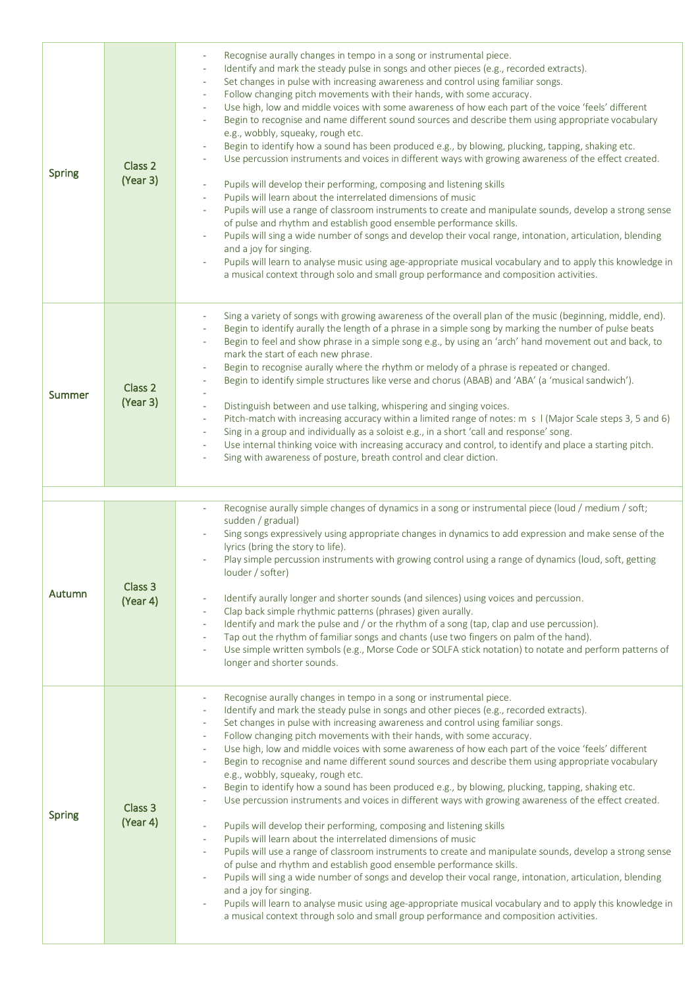| <b>Spring</b> | Class 2<br>(Year 3) | Recognise aurally changes in tempo in a song or instrumental piece.<br>Identify and mark the steady pulse in songs and other pieces (e.g., recorded extracts).<br>Set changes in pulse with increasing awareness and control using familiar songs.<br>Follow changing pitch movements with their hands, with some accuracy.<br>÷.<br>Use high, low and middle voices with some awareness of how each part of the voice 'feels' different<br>٠<br>Begin to recognise and name different sound sources and describe them using appropriate vocabulary<br>e.g., wobbly, squeaky, rough etc.<br>Begin to identify how a sound has been produced e.g., by blowing, plucking, tapping, shaking etc.<br>Use percussion instruments and voices in different ways with growing awareness of the effect created.<br>Pupils will develop their performing, composing and listening skills<br>$\equiv$<br>Pupils will learn about the interrelated dimensions of music<br>$\overline{\phantom{a}}$<br>Pupils will use a range of classroom instruments to create and manipulate sounds, develop a strong sense<br>of pulse and rhythm and establish good ensemble performance skills.<br>Pupils will sing a wide number of songs and develop their vocal range, intonation, articulation, blending<br>and a joy for singing.<br>Pupils will learn to analyse music using age-appropriate musical vocabulary and to apply this knowledge in<br>a musical context through solo and small group performance and composition activities.                             |
|---------------|---------------------|------------------------------------------------------------------------------------------------------------------------------------------------------------------------------------------------------------------------------------------------------------------------------------------------------------------------------------------------------------------------------------------------------------------------------------------------------------------------------------------------------------------------------------------------------------------------------------------------------------------------------------------------------------------------------------------------------------------------------------------------------------------------------------------------------------------------------------------------------------------------------------------------------------------------------------------------------------------------------------------------------------------------------------------------------------------------------------------------------------------------------------------------------------------------------------------------------------------------------------------------------------------------------------------------------------------------------------------------------------------------------------------------------------------------------------------------------------------------------------------------------------------------------------------------------|
| Summer        | Class 2<br>(Year 3) | Sing a variety of songs with growing awareness of the overall plan of the music (beginning, middle, end).<br>Begin to identify aurally the length of a phrase in a simple song by marking the number of pulse beats<br>Begin to feel and show phrase in a simple song e.g., by using an 'arch' hand movement out and back, to<br>mark the start of each new phrase.<br>Begin to recognise aurally where the rhythm or melody of a phrase is repeated or changed.<br>Begin to identify simple structures like verse and chorus (ABAB) and 'ABA' (a 'musical sandwich').<br>Distinguish between and use talking, whispering and singing voices.<br>÷.<br>Pitch-match with increasing accuracy within a limited range of notes: m s   (Major Scale steps 3, 5 and 6)<br>$\overline{\phantom{a}}$<br>Sing in a group and individually as a soloist e.g., in a short 'call and response' song.<br>$\sim$<br>Use internal thinking voice with increasing accuracy and control, to identify and place a starting pitch.<br>$\overline{\phantom{a}}$<br>Sing with awareness of posture, breath control and clear diction.                                                                                                                                                                                                                                                                                                                                                                                                                                    |
|               |                     | Recognise aurally simple changes of dynamics in a song or instrumental piece (loud / medium / soft;<br>$\omega$                                                                                                                                                                                                                                                                                                                                                                                                                                                                                                                                                                                                                                                                                                                                                                                                                                                                                                                                                                                                                                                                                                                                                                                                                                                                                                                                                                                                                                      |
| Autumn        | Class 3<br>(Year 4) | sudden / gradual)<br>Sing songs expressively using appropriate changes in dynamics to add expression and make sense of the<br>lyrics (bring the story to life).<br>Play simple percussion instruments with growing control using a range of dynamics (loud, soft, getting<br>louder / softer)<br>Identify aurally longer and shorter sounds (and silences) using voices and percussion.<br>Clap back simple rhythmic patterns (phrases) given aurally.<br>Identify and mark the pulse and / or the rhythm of a song (tap, clap and use percussion).<br>$\sim$<br>Tap out the rhythm of familiar songs and chants (use two fingers on palm of the hand).<br>Use simple written symbols (e.g., Morse Code or SOLFA stick notation) to notate and perform patterns of<br>longer and shorter sounds.                                                                                                                                                                                                                                                                                                                                                                                                                                                                                                                                                                                                                                                                                                                                                     |
| <b>Spring</b> | Class 3<br>(Year 4) | Recognise aurally changes in tempo in a song or instrumental piece.<br>÷.<br>Identify and mark the steady pulse in songs and other pieces (e.g., recorded extracts).<br>٠<br>Set changes in pulse with increasing awareness and control using familiar songs.<br>Follow changing pitch movements with their hands, with some accuracy.<br>Use high, low and middle voices with some awareness of how each part of the voice 'feels' different<br>Begin to recognise and name different sound sources and describe them using appropriate vocabulary<br>$\overline{\phantom{a}}$<br>e.g., wobbly, squeaky, rough etc.<br>Begin to identify how a sound has been produced e.g., by blowing, plucking, tapping, shaking etc.<br>Use percussion instruments and voices in different ways with growing awareness of the effect created.<br>Pupils will develop their performing, composing and listening skills<br>Pupils will learn about the interrelated dimensions of music<br>$\overline{\phantom{a}}$<br>Pupils will use a range of classroom instruments to create and manipulate sounds, develop a strong sense<br>$\equiv$<br>of pulse and rhythm and establish good ensemble performance skills.<br>Pupils will sing a wide number of songs and develop their vocal range, intonation, articulation, blending<br>and a joy for singing.<br>Pupils will learn to analyse music using age-appropriate musical vocabulary and to apply this knowledge in<br>a musical context through solo and small group performance and composition activities. |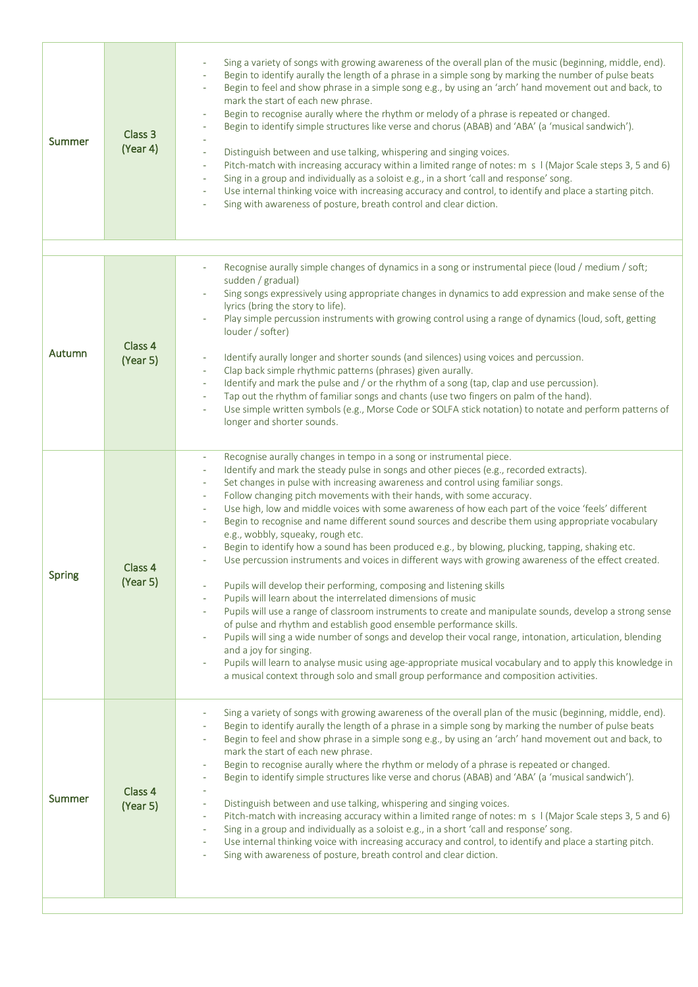| Summer        | Class 3<br>(Year 4) | Sing a variety of songs with growing awareness of the overall plan of the music (beginning, middle, end).<br>Begin to identify aurally the length of a phrase in a simple song by marking the number of pulse beats<br>Begin to feel and show phrase in a simple song e.g., by using an 'arch' hand movement out and back, to<br>mark the start of each new phrase.<br>Begin to recognise aurally where the rhythm or melody of a phrase is repeated or changed.<br>Begin to identify simple structures like verse and chorus (ABAB) and 'ABA' (a 'musical sandwich').<br>$\overline{\phantom{a}}$<br>$\overline{\phantom{a}}$<br>Distinguish between and use talking, whispering and singing voices.<br>ä,<br>Pitch-match with increasing accuracy within a limited range of notes: m s   (Major Scale steps 3, 5 and 6)<br>$\equiv$<br>Sing in a group and individually as a soloist e.g., in a short 'call and response' song.<br>$\overline{\phantom{a}}$<br>Use internal thinking voice with increasing accuracy and control, to identify and place a starting pitch.<br>$\overline{\phantom{a}}$<br>Sing with awareness of posture, breath control and clear diction.<br>$\omega$                                                                                                                                                                                                                                                                                                                                                                                                                                                                                                                         |
|---------------|---------------------|-----------------------------------------------------------------------------------------------------------------------------------------------------------------------------------------------------------------------------------------------------------------------------------------------------------------------------------------------------------------------------------------------------------------------------------------------------------------------------------------------------------------------------------------------------------------------------------------------------------------------------------------------------------------------------------------------------------------------------------------------------------------------------------------------------------------------------------------------------------------------------------------------------------------------------------------------------------------------------------------------------------------------------------------------------------------------------------------------------------------------------------------------------------------------------------------------------------------------------------------------------------------------------------------------------------------------------------------------------------------------------------------------------------------------------------------------------------------------------------------------------------------------------------------------------------------------------------------------------------------------------------------------------------------------------------------------------------------|
|               |                     |                                                                                                                                                                                                                                                                                                                                                                                                                                                                                                                                                                                                                                                                                                                                                                                                                                                                                                                                                                                                                                                                                                                                                                                                                                                                                                                                                                                                                                                                                                                                                                                                                                                                                                                 |
| Autumn        | Class 4<br>(Year 5) | Recognise aurally simple changes of dynamics in a song or instrumental piece (loud / medium / soft;<br>$\overline{\phantom{a}}$<br>sudden / gradual)<br>Sing songs expressively using appropriate changes in dynamics to add expression and make sense of the<br>lyrics (bring the story to life).<br>Play simple percussion instruments with growing control using a range of dynamics (loud, soft, getting<br>louder / softer)<br>Identify aurally longer and shorter sounds (and silences) using voices and percussion.<br>$\overline{\phantom{a}}$<br>Clap back simple rhythmic patterns (phrases) given aurally.<br>$\overline{\phantom{a}}$<br>Identify and mark the pulse and / or the rhythm of a song (tap, clap and use percussion).<br>$\sim$<br>Tap out the rhythm of familiar songs and chants (use two fingers on palm of the hand).<br>$\overline{\phantom{a}}$<br>Use simple written symbols (e.g., Morse Code or SOLFA stick notation) to notate and perform patterns of<br>longer and shorter sounds.                                                                                                                                                                                                                                                                                                                                                                                                                                                                                                                                                                                                                                                                                         |
| <b>Spring</b> | Class 4<br>(Year 5) | Recognise aurally changes in tempo in a song or instrumental piece.<br>$\sim$<br>Identify and mark the steady pulse in songs and other pieces (e.g., recorded extracts).<br>$\overline{\phantom{a}}$<br>Set changes in pulse with increasing awareness and control using familiar songs.<br>$\overline{\phantom{a}}$<br>Follow changing pitch movements with their hands, with some accuracy.<br>$\overline{\phantom{a}}$<br>Use high, low and middle voices with some awareness of how each part of the voice 'feels' different<br>$\overline{\phantom{a}}$<br>Begin to recognise and name different sound sources and describe them using appropriate vocabulary<br>$\overline{\phantom{a}}$<br>e.g., wobbly, squeaky, rough etc.<br>Begin to identify how a sound has been produced e.g., by blowing, plucking, tapping, shaking etc.<br>Use percussion instruments and voices in different ways with growing awareness of the effect created.<br>Pupils will develop their performing, composing and listening skills<br>Pupils will learn about the interrelated dimensions of music<br>$\overline{\phantom{a}}$<br>Pupils will use a range of classroom instruments to create and manipulate sounds, develop a strong sense<br>$\overline{\phantom{a}}$<br>of pulse and rhythm and establish good ensemble performance skills.<br>Pupils will sing a wide number of songs and develop their vocal range, intonation, articulation, blending<br>$\overline{\phantom{a}}$<br>and a joy for singing.<br>Pupils will learn to analyse music using age-appropriate musical vocabulary and to apply this knowledge in<br>a musical context through solo and small group performance and composition activities. |
| Summer        | Class 4<br>(Year 5) | Sing a variety of songs with growing awareness of the overall plan of the music (beginning, middle, end).<br>Begin to identify aurally the length of a phrase in a simple song by marking the number of pulse beats<br>Begin to feel and show phrase in a simple song e.g., by using an 'arch' hand movement out and back, to<br>$\overline{\phantom{a}}$<br>mark the start of each new phrase.<br>Begin to recognise aurally where the rhythm or melody of a phrase is repeated or changed.<br>$\overline{\phantom{a}}$<br>Begin to identify simple structures like verse and chorus (ABAB) and 'ABA' (a 'musical sandwich').<br>$\overline{\phantom{a}}$<br>$\overline{\phantom{a}}$<br>Distinguish between and use talking, whispering and singing voices.<br>$\overline{\phantom{a}}$<br>Pitch-match with increasing accuracy within a limited range of notes: m s   (Major Scale steps 3, 5 and 6)<br>$\overline{\phantom{a}}$<br>Sing in a group and individually as a soloist e.g., in a short 'call and response' song.<br>$\overline{\phantom{a}}$<br>Use internal thinking voice with increasing accuracy and control, to identify and place a starting pitch.<br>$\overline{\phantom{a}}$<br>Sing with awareness of posture, breath control and clear diction.                                                                                                                                                                                                                                                                                                                                                                                                                                       |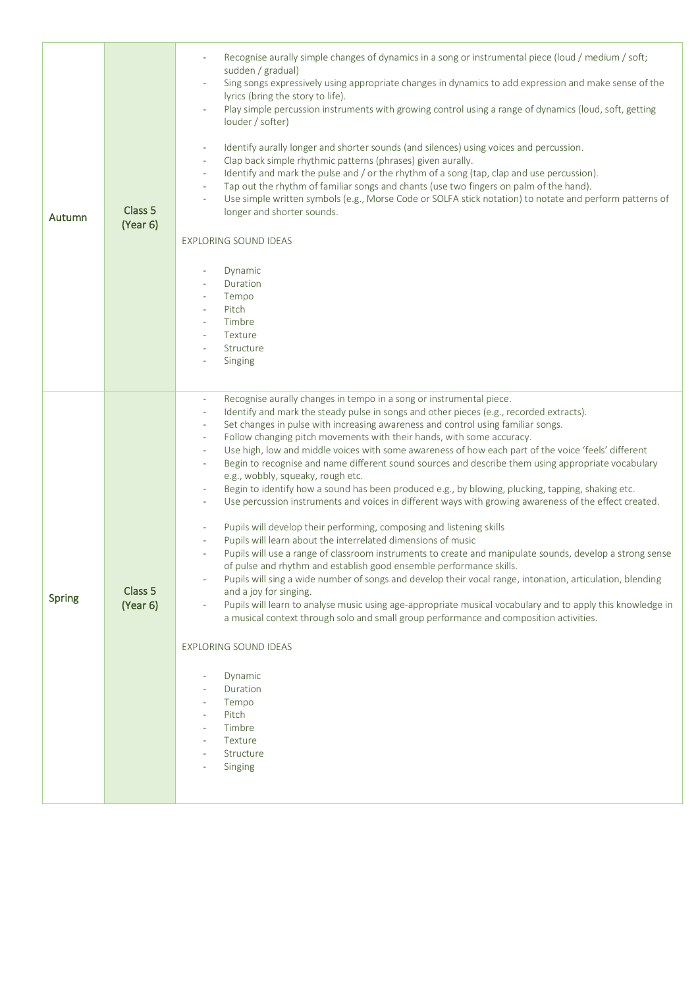| Autumn        | Class 5<br>(Year 6) | Recognise aurally simple changes of dynamics in a song or instrumental piece (loud / medium / soft;<br>sudden / gradual)<br>Sing songs expressively using appropriate changes in dynamics to add expression and make sense of the<br>lyrics (bring the story to life).<br>Play simple percussion instruments with growing control using a range of dynamics (loud, soft, getting<br>louder / softer)<br>Identify aurally longer and shorter sounds (and silences) using voices and percussion.<br>Clap back simple rhythmic patterns (phrases) given aurally.<br>$\overline{\phantom{a}}$<br>Identify and mark the pulse and / or the rhythm of a song (tap, clap and use percussion).<br>$\sim$<br>Tap out the rhythm of familiar songs and chants (use two fingers on palm of the hand).<br>$\overline{\phantom{a}}$<br>Use simple written symbols (e.g., Morse Code or SOLFA stick notation) to notate and perform patterns of<br>longer and shorter sounds.<br>EXPLORING SOUND IDEAS<br>Dynamic<br>Duration<br>Tempo<br>$\overline{\phantom{a}}$<br>Pitch<br>$\overline{\phantom{a}}$<br>Timbre<br>$\overline{\phantom{a}}$<br>Texture<br>$\overline{\phantom{a}}$<br>Structure<br>Singing                                                                                                                                                                                                                                                                                                                                                                                                                                                                                                                                                                                                                                                                                                      |
|---------------|---------------------|-----------------------------------------------------------------------------------------------------------------------------------------------------------------------------------------------------------------------------------------------------------------------------------------------------------------------------------------------------------------------------------------------------------------------------------------------------------------------------------------------------------------------------------------------------------------------------------------------------------------------------------------------------------------------------------------------------------------------------------------------------------------------------------------------------------------------------------------------------------------------------------------------------------------------------------------------------------------------------------------------------------------------------------------------------------------------------------------------------------------------------------------------------------------------------------------------------------------------------------------------------------------------------------------------------------------------------------------------------------------------------------------------------------------------------------------------------------------------------------------------------------------------------------------------------------------------------------------------------------------------------------------------------------------------------------------------------------------------------------------------------------------------------------------------------------------------------------------------------------------------------------------------------|
| <b>Spring</b> | Class 5<br>(Year 6) | Recognise aurally changes in tempo in a song or instrumental piece.<br>$\overline{\phantom{a}}$<br>Identify and mark the steady pulse in songs and other pieces (e.g., recorded extracts).<br>$\overline{\phantom{a}}$<br>Set changes in pulse with increasing awareness and control using familiar songs.<br>$\overline{\phantom{a}}$<br>Follow changing pitch movements with their hands, with some accuracy.<br>$\overline{\phantom{a}}$<br>Use high, low and middle voices with some awareness of how each part of the voice 'feels' different<br>$\overline{\phantom{a}}$<br>Begin to recognise and name different sound sources and describe them using appropriate vocabulary<br>$\sim$<br>e.g., wobbly, squeaky, rough etc.<br>Begin to identify how a sound has been produced e.g., by blowing, plucking, tapping, shaking etc.<br>$\overline{\phantom{a}}$<br>Use percussion instruments and voices in different ways with growing awareness of the effect created.<br>$\overline{\phantom{a}}$<br>Pupils will develop their performing, composing and listening skills<br>$\overline{\phantom{a}}$<br>Pupils will learn about the interrelated dimensions of music<br>$\overline{\phantom{a}}$<br>Pupils will use a range of classroom instruments to create and manipulate sounds, develop a strong sense<br>$\overline{\phantom{a}}$<br>of pulse and rhythm and establish good ensemble performance skills.<br>Pupils will sing a wide number of songs and develop their vocal range, intonation, articulation, blending<br>and a joy for singing.<br>Pupils will learn to analyse music using age-appropriate musical vocabulary and to apply this knowledge in<br>a musical context through solo and small group performance and composition activities.<br><b>EXPLORING SOUND IDEAS</b><br>Dynamic<br>Duration<br>Tempo<br>Pitch<br>÷.<br>Timbre<br>Texture<br>Structure<br>Singing |